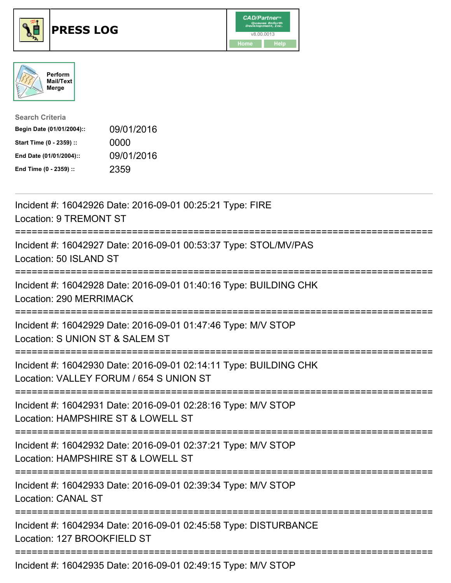





| <b>Search Criteria</b>    |            |
|---------------------------|------------|
| Begin Date (01/01/2004):: | 09/01/2016 |
| Start Time (0 - 2359) ::  | 0000       |
| End Date (01/01/2004)::   | 09/01/2016 |
| End Time (0 - 2359) ::    | 2359       |

| Incident #: 16042926 Date: 2016-09-01 00:25:21 Type: FIRE<br><b>Location: 9 TREMONT ST</b>                                                 |
|--------------------------------------------------------------------------------------------------------------------------------------------|
| Incident #: 16042927 Date: 2016-09-01 00:53:37 Type: STOL/MV/PAS<br>Location: 50 ISLAND ST                                                 |
| Incident #: 16042928 Date: 2016-09-01 01:40:16 Type: BUILDING CHK<br>Location: 290 MERRIMACK                                               |
| Incident #: 16042929 Date: 2016-09-01 01:47:46 Type: M/V STOP<br>Location: S UNION ST & SALEM ST                                           |
| Incident #: 16042930 Date: 2016-09-01 02:14:11 Type: BUILDING CHK<br>Location: VALLEY FORUM / 654 S UNION ST<br>========================== |
| Incident #: 16042931 Date: 2016-09-01 02:28:16 Type: M/V STOP<br>Location: HAMPSHIRE ST & LOWELL ST<br>===========================         |
| Incident #: 16042932 Date: 2016-09-01 02:37:21 Type: M/V STOP<br>Location: HAMPSHIRE ST & LOWELL ST<br>;============================       |
| Incident #: 16042933 Date: 2016-09-01 02:39:34 Type: M/V STOP<br><b>Location: CANAL ST</b>                                                 |
| Incident #: 16042934 Date: 2016-09-01 02:45:58 Type: DISTURBANCE<br>Location: 127 BROOKFIELD ST                                            |
| Incident #: 16042935 Date: 2016-09-01 02:49:15 Type: M/V STOP                                                                              |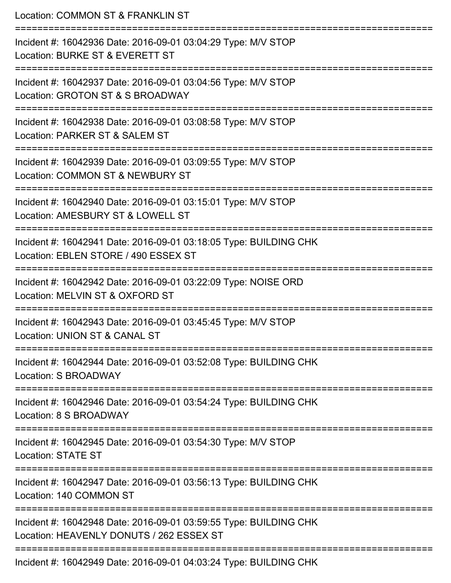Location: COMMON ST & FRANKLIN ST =========================================================================== Incident #: 16042936 Date: 2016-09-01 03:04:29 Type: M/V STOP Location: BURKE ST & EVERETT ST =========================================================================== Incident #: 16042937 Date: 2016-09-01 03:04:56 Type: M/V STOP Location: GROTON ST & S BROADWAY =========================================================================== Incident #: 16042938 Date: 2016-09-01 03:08:58 Type: M/V STOP Location: PARKER ST & SALEM ST =========================================================================== Incident #: 16042939 Date: 2016-09-01 03:09:55 Type: M/V STOP Location: COMMON ST & NEWBURY ST =========================================================================== Incident #: 16042940 Date: 2016-09-01 03:15:01 Type: M/V STOP Location: AMESBURY ST & LOWELL ST =========================================================================== Incident #: 16042941 Date: 2016-09-01 03:18:05 Type: BUILDING CHK Location: EBLEN STORE / 490 ESSEX ST =========================================================================== Incident #: 16042942 Date: 2016-09-01 03:22:09 Type: NOISE ORD Location: MELVIN ST & OXFORD ST =========================================================================== Incident #: 16042943 Date: 2016-09-01 03:45:45 Type: M/V STOP Location: UNION ST & CANAL ST =========================================================================== Incident #: 16042944 Date: 2016-09-01 03:52:08 Type: BUILDING CHK Location: S BROADWAY =========================================================================== Incident #: 16042946 Date: 2016-09-01 03:54:24 Type: BUILDING CHK Location: 8 S BROADWAY =========================================================================== Incident #: 16042945 Date: 2016-09-01 03:54:30 Type: M/V STOP Location: STATE ST =========================================================================== Incident #: 16042947 Date: 2016-09-01 03:56:13 Type: BUILDING CHK Location: 140 COMMON ST =========================================================================== Incident #: 16042948 Date: 2016-09-01 03:59:55 Type: BUILDING CHK Location: HEAVENLY DONUTS / 262 ESSEX ST =========================================================================== Incident #: 16042949 Date: 2016-09-01 04:03:24 Type: BUILDING CHK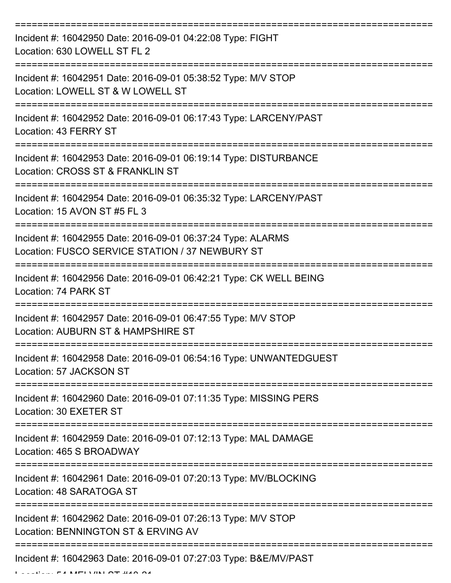| Incident #: 16042950 Date: 2016-09-01 04:22:08 Type: FIGHT<br>Location: 630 LOWELL ST FL 2                                               |
|------------------------------------------------------------------------------------------------------------------------------------------|
| Incident #: 16042951 Date: 2016-09-01 05:38:52 Type: M/V STOP<br>Location: LOWELL ST & W LOWELL ST                                       |
| Incident #: 16042952 Date: 2016-09-01 06:17:43 Type: LARCENY/PAST<br>Location: 43 FERRY ST                                               |
| Incident #: 16042953 Date: 2016-09-01 06:19:14 Type: DISTURBANCE<br>Location: CROSS ST & FRANKLIN ST                                     |
| Incident #: 16042954 Date: 2016-09-01 06:35:32 Type: LARCENY/PAST<br>Location: 15 AVON ST #5 FL 3<br>=================================== |
| Incident #: 16042955 Date: 2016-09-01 06:37:24 Type: ALARMS<br>Location: FUSCO SERVICE STATION / 37 NEWBURY ST                           |
| Incident #: 16042956 Date: 2016-09-01 06:42:21 Type: CK WELL BEING<br>Location: 74 PARK ST                                               |
| Incident #: 16042957 Date: 2016-09-01 06:47:55 Type: M/V STOP<br>Location: AUBURN ST & HAMPSHIRE ST                                      |
| Incident #: 16042958 Date: 2016-09-01 06:54:16 Type: UNWANTEDGUEST<br>Location: 57 JACKSON ST                                            |
| Incident #: 16042960 Date: 2016-09-01 07:11:35 Type: MISSING PERS<br>Location: 30 EXETER ST                                              |
| Incident #: 16042959 Date: 2016-09-01 07:12:13 Type: MAL DAMAGE<br>Location: 465 S BROADWAY                                              |
| Incident #: 16042961 Date: 2016-09-01 07:20:13 Type: MV/BLOCKING<br>Location: 48 SARATOGA ST                                             |
| Incident #: 16042962 Date: 2016-09-01 07:26:13 Type: M/V STOP<br>Location: BENNINGTON ST & ERVING AV                                     |
| Incident #: 16042963 Date: 2016-09-01 07:27:03 Type: B&E/MV/PAST                                                                         |

Location: 54 MELVINI OT #40 04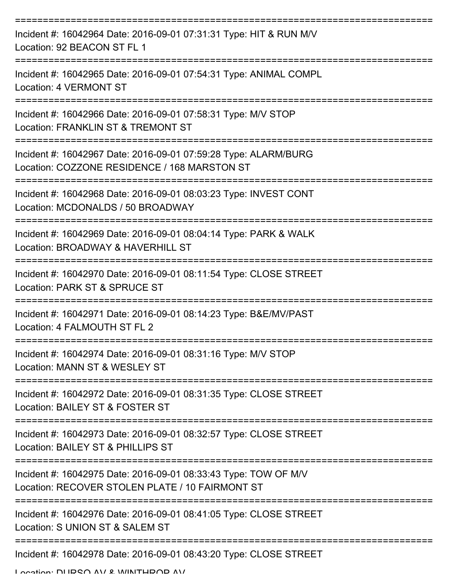| Incident #: 16042964 Date: 2016-09-01 07:31:31 Type: HIT & RUN M/V<br>Location: 92 BEACON ST FL 1                      |
|------------------------------------------------------------------------------------------------------------------------|
| Incident #: 16042965 Date: 2016-09-01 07:54:31 Type: ANIMAL COMPL<br><b>Location: 4 VERMONT ST</b>                     |
| Incident #: 16042966 Date: 2016-09-01 07:58:31 Type: M/V STOP<br>Location: FRANKLIN ST & TREMONT ST                    |
| Incident #: 16042967 Date: 2016-09-01 07:59:28 Type: ALARM/BURG<br>Location: COZZONE RESIDENCE / 168 MARSTON ST        |
| Incident #: 16042968 Date: 2016-09-01 08:03:23 Type: INVEST CONT<br>Location: MCDONALDS / 50 BROADWAY                  |
| Incident #: 16042969 Date: 2016-09-01 08:04:14 Type: PARK & WALK<br>Location: BROADWAY & HAVERHILL ST                  |
| Incident #: 16042970 Date: 2016-09-01 08:11:54 Type: CLOSE STREET<br>Location: PARK ST & SPRUCE ST                     |
| Incident #: 16042971 Date: 2016-09-01 08:14:23 Type: B&E/MV/PAST<br>Location: 4 FALMOUTH ST FL 2                       |
| Incident #: 16042974 Date: 2016-09-01 08:31:16 Type: M/V STOP<br>Location: MANN ST & WESLEY ST                         |
| Incident #: 16042972 Date: 2016-09-01 08:31:35 Type: CLOSE STREET<br>Location: BAILEY ST & FOSTER ST                   |
| Incident #: 16042973 Date: 2016-09-01 08:32:57 Type: CLOSE STREET<br>Location: BAILEY ST & PHILLIPS ST                 |
| Incident #: 16042975 Date: 2016-09-01 08:33:43 Type: TOW OF M/V<br>Location: RECOVER STOLEN PLATE / 10 FAIRMONT ST     |
| Incident #: 16042976 Date: 2016-09-01 08:41:05 Type: CLOSE STREET<br>Location: S UNION ST & SALEM ST<br>-------------- |
| Incident #: 16042978 Date: 2016-09-01 08:43:20 Type: CLOSE STREET                                                      |

Location: DUDCA AV & WINTHDAD AV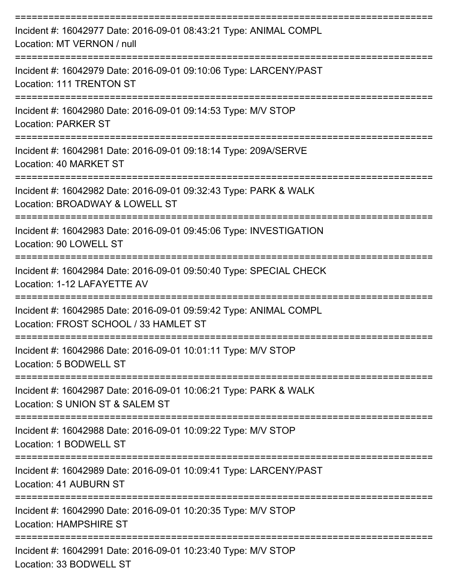| Incident #: 16042977 Date: 2016-09-01 08:43:21 Type: ANIMAL COMPL<br>Location: MT VERNON / null                              |
|------------------------------------------------------------------------------------------------------------------------------|
| Incident #: 16042979 Date: 2016-09-01 09:10:06 Type: LARCENY/PAST<br><b>Location: 111 TRENTON ST</b>                         |
| Incident #: 16042980 Date: 2016-09-01 09:14:53 Type: M/V STOP<br><b>Location: PARKER ST</b>                                  |
| Incident #: 16042981 Date: 2016-09-01 09:18:14 Type: 209A/SERVE<br>Location: 40 MARKET ST                                    |
| Incident #: 16042982 Date: 2016-09-01 09:32:43 Type: PARK & WALK<br>Location: BROADWAY & LOWELL ST                           |
| Incident #: 16042983 Date: 2016-09-01 09:45:06 Type: INVESTIGATION<br>Location: 90 LOWELL ST                                 |
| Incident #: 16042984 Date: 2016-09-01 09:50:40 Type: SPECIAL CHECK<br>Location: 1-12 LAFAYETTE AV                            |
| Incident #: 16042985 Date: 2016-09-01 09:59:42 Type: ANIMAL COMPL<br>Location: FROST SCHOOL / 33 HAMLET ST                   |
| :================================<br>Incident #: 16042986 Date: 2016-09-01 10:01:11 Type: M/V STOP<br>Location: 5 BODWELL ST |
| Incident #: 16042987 Date: 2016-09-01 10:06:21 Type: PARK & WALK<br>Location: S UNION ST & SALEM ST                          |
| Incident #: 16042988 Date: 2016-09-01 10:09:22 Type: M/V STOP<br>Location: 1 BODWELL ST                                      |
| Incident #: 16042989 Date: 2016-09-01 10:09:41 Type: LARCENY/PAST<br>Location: 41 AUBURN ST                                  |
| Incident #: 16042990 Date: 2016-09-01 10:20:35 Type: M/V STOP<br><b>Location: HAMPSHIRE ST</b>                               |
| Incident #: 16042991 Date: 2016-09-01 10:23:40 Type: M/V STOP<br>Location: 33 BODWELL ST                                     |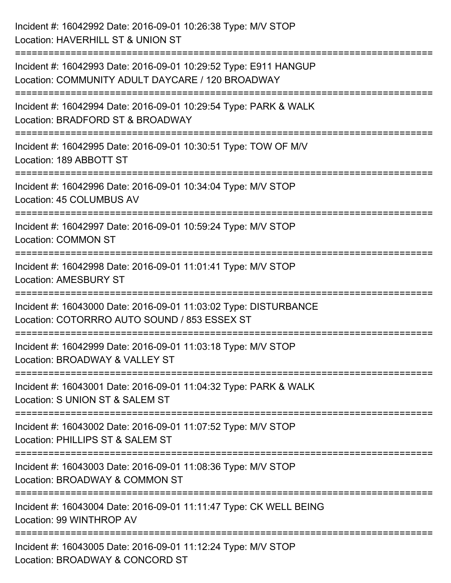| Incident #: 16042992 Date: 2016-09-01 10:26:38 Type: M/V STOP<br>Location: HAVERHILL ST & UNION ST                              |
|---------------------------------------------------------------------------------------------------------------------------------|
| Incident #: 16042993 Date: 2016-09-01 10:29:52 Type: E911 HANGUP<br>Location: COMMUNITY ADULT DAYCARE / 120 BROADWAY            |
| Incident #: 16042994 Date: 2016-09-01 10:29:54 Type: PARK & WALK<br>Location: BRADFORD ST & BROADWAY<br>:====================== |
| Incident #: 16042995 Date: 2016-09-01 10:30:51 Type: TOW OF M/V<br>Location: 189 ABBOTT ST                                      |
| Incident #: 16042996 Date: 2016-09-01 10:34:04 Type: M/V STOP<br>Location: 45 COLUMBUS AV<br>;==============================    |
| Incident #: 16042997 Date: 2016-09-01 10:59:24 Type: M/V STOP<br><b>Location: COMMON ST</b>                                     |
| Incident #: 16042998 Date: 2016-09-01 11:01:41 Type: M/V STOP<br><b>Location: AMESBURY ST</b>                                   |
| Incident #: 16043000 Date: 2016-09-01 11:03:02 Type: DISTURBANCE<br>Location: COTORRRO AUTO SOUND / 853 ESSEX ST                |
| Incident #: 16042999 Date: 2016-09-01 11:03:18 Type: M/V STOP<br>Location: BROADWAY & VALLEY ST                                 |
| Incident #: 16043001 Date: 2016-09-01 11:04:32 Type: PARK & WALK<br>Location: S UNION ST & SALEM ST                             |
| Incident #: 16043002 Date: 2016-09-01 11:07:52 Type: M/V STOP<br>Location: PHILLIPS ST & SALEM ST                               |
| Incident #: 16043003 Date: 2016-09-01 11:08:36 Type: M/V STOP<br>Location: BROADWAY & COMMON ST                                 |
| Incident #: 16043004 Date: 2016-09-01 11:11:47 Type: CK WELL BEING<br>Location: 99 WINTHROP AV                                  |
| Incident #: 16043005 Date: 2016-09-01 11:12:24 Type: M/V STOP<br>Location: BROADWAY & CONCORD ST                                |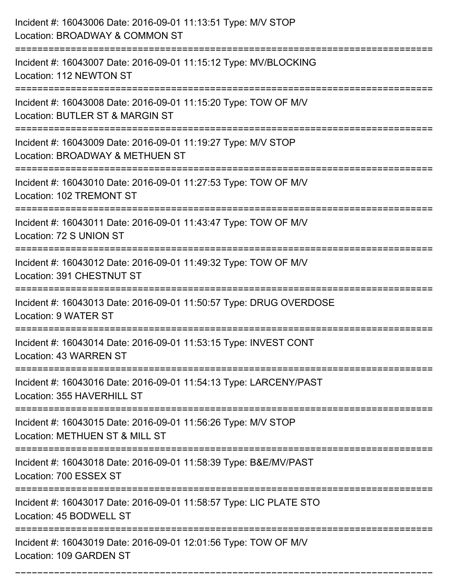| Incident #: 16043006 Date: 2016-09-01 11:13:51 Type: M/V STOP<br>Location: BROADWAY & COMMON ST                                    |
|------------------------------------------------------------------------------------------------------------------------------------|
| :==========================<br>Incident #: 16043007 Date: 2016-09-01 11:15:12 Type: MV/BLOCKING<br>Location: 112 NEWTON ST         |
| Incident #: 16043008 Date: 2016-09-01 11:15:20 Type: TOW OF M/V<br>Location: BUTLER ST & MARGIN ST                                 |
| Incident #: 16043009 Date: 2016-09-01 11:19:27 Type: M/V STOP<br>Location: BROADWAY & METHUEN ST                                   |
| Incident #: 16043010 Date: 2016-09-01 11:27:53 Type: TOW OF M/V<br>Location: 102 TREMONT ST<br>=================================== |
| Incident #: 16043011 Date: 2016-09-01 11:43:47 Type: TOW OF M/V<br>Location: 72 S UNION ST                                         |
| Incident #: 16043012 Date: 2016-09-01 11:49:32 Type: TOW OF M/V<br>Location: 391 CHESTNUT ST<br>===============                    |
| Incident #: 16043013 Date: 2016-09-01 11:50:57 Type: DRUG OVERDOSE<br>Location: 9 WATER ST                                         |
| Incident #: 16043014 Date: 2016-09-01 11:53:15 Type: INVEST CONT<br>Location: 43 WARREN ST                                         |
| Incident #: 16043016 Date: 2016-09-01 11:54:13 Type: LARCENY/PAST<br>Location: 355 HAVERHILL ST                                    |
| Incident #: 16043015 Date: 2016-09-01 11:56:26 Type: M/V STOP<br>Location: METHUEN ST & MILL ST                                    |
| Incident #: 16043018 Date: 2016-09-01 11:58:39 Type: B&E/MV/PAST<br>Location: 700 ESSEX ST                                         |
| Incident #: 16043017 Date: 2016-09-01 11:58:57 Type: LIC PLATE STO<br>Location: 45 BODWELL ST                                      |
| Incident #: 16043019 Date: 2016-09-01 12:01:56 Type: TOW OF M/V<br>Location: 109 GARDEN ST                                         |

===========================================================================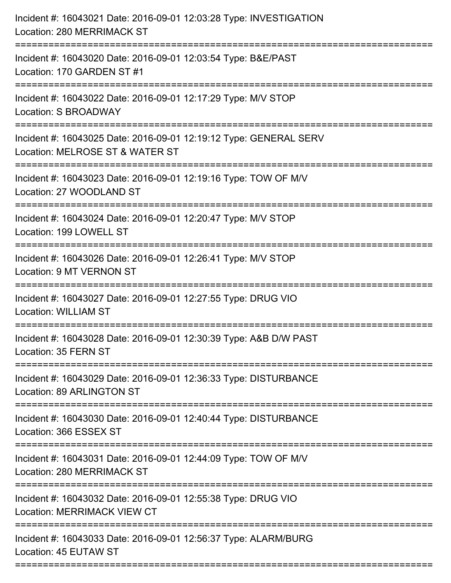| Incident #: 16043021 Date: 2016-09-01 12:03:28 Type: INVESTIGATION<br>Location: 280 MERRIMACK ST     |
|------------------------------------------------------------------------------------------------------|
| Incident #: 16043020 Date: 2016-09-01 12:03:54 Type: B&E/PAST<br>Location: 170 GARDEN ST #1          |
| Incident #: 16043022 Date: 2016-09-01 12:17:29 Type: M/V STOP<br>Location: S BROADWAY                |
| Incident #: 16043025 Date: 2016-09-01 12:19:12 Type: GENERAL SERV<br>Location: MELROSE ST & WATER ST |
| Incident #: 16043023 Date: 2016-09-01 12:19:16 Type: TOW OF M/V<br>Location: 27 WOODLAND ST          |
| Incident #: 16043024 Date: 2016-09-01 12:20:47 Type: M/V STOP<br>Location: 199 LOWELL ST             |
| Incident #: 16043026 Date: 2016-09-01 12:26:41 Type: M/V STOP<br>Location: 9 MT VERNON ST            |
| Incident #: 16043027 Date: 2016-09-01 12:27:55 Type: DRUG VIO<br><b>Location: WILLIAM ST</b>         |
| Incident #: 16043028 Date: 2016-09-01 12:30:39 Type: A&B D/W PAST<br>Location: 35 FERN ST            |
| Incident #: 16043029 Date: 2016-09-01 12:36:33 Type: DISTURBANCE<br>Location: 89 ARLINGTON ST        |
| Incident #: 16043030 Date: 2016-09-01 12:40:44 Type: DISTURBANCE<br>Location: 366 ESSEX ST           |
| Incident #: 16043031 Date: 2016-09-01 12:44:09 Type: TOW OF M/V<br>Location: 280 MERRIMACK ST        |
| Incident #: 16043032 Date: 2016-09-01 12:55:38 Type: DRUG VIO<br><b>Location: MERRIMACK VIEW CT</b>  |
| Incident #: 16043033 Date: 2016-09-01 12:56:37 Type: ALARM/BURG<br>Location: 45 EUTAW ST             |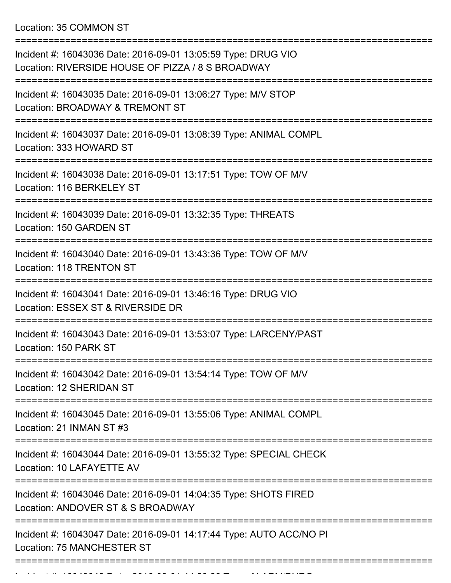Location: 35 COMMON ST

| Incident #: 16043036 Date: 2016-09-01 13:05:59 Type: DRUG VIO<br>Location: RIVERSIDE HOUSE OF PIZZA / 8 S BROADWAY                                |
|---------------------------------------------------------------------------------------------------------------------------------------------------|
| Incident #: 16043035 Date: 2016-09-01 13:06:27 Type: M/V STOP<br>Location: BROADWAY & TREMONT ST                                                  |
| Incident #: 16043037 Date: 2016-09-01 13:08:39 Type: ANIMAL COMPL<br>Location: 333 HOWARD ST                                                      |
| Incident #: 16043038 Date: 2016-09-01 13:17:51 Type: TOW OF M/V<br>Location: 116 BERKELEY ST                                                      |
| Incident #: 16043039 Date: 2016-09-01 13:32:35 Type: THREATS<br>Location: 150 GARDEN ST                                                           |
| Incident #: 16043040 Date: 2016-09-01 13:43:36 Type: TOW OF M/V<br><b>Location: 118 TRENTON ST</b>                                                |
| Incident #: 16043041 Date: 2016-09-01 13:46:16 Type: DRUG VIO<br>Location: ESSEX ST & RIVERSIDE DR                                                |
| Incident #: 16043043 Date: 2016-09-01 13:53:07 Type: LARCENY/PAST<br>Location: 150 PARK ST                                                        |
| Incident #: 16043042 Date: 2016-09-01 13:54:14 Type: TOW OF M/V<br>Location: 12 SHERIDAN ST                                                       |
| ================<br>============================<br>Incident #: 16043045 Date: 2016-09-01 13:55:06 Type: ANIMAL COMPL<br>Location: 21 INMAN ST #3 |
| Incident #: 16043044 Date: 2016-09-01 13:55:32 Type: SPECIAL CHECK<br>Location: 10 LAFAYETTE AV                                                   |
| Incident #: 16043046 Date: 2016-09-01 14:04:35 Type: SHOTS FIRED<br>Location: ANDOVER ST & S BROADWAY                                             |
| Incident #: 16043047 Date: 2016-09-01 14:17:44 Type: AUTO ACC/NO PI<br><b>Location: 75 MANCHESTER ST</b>                                          |
|                                                                                                                                                   |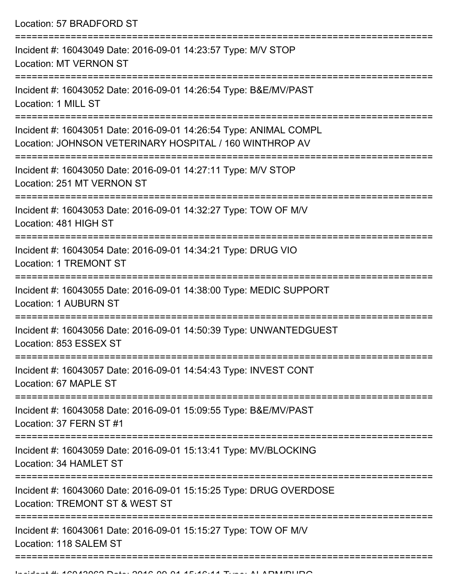Location: 57 BRADFORD ST

| Incident #: 16043049 Date: 2016-09-01 14:23:57 Type: M/V STOP<br><b>Location: MT VERNON ST</b>                               |
|------------------------------------------------------------------------------------------------------------------------------|
| Incident #: 16043052 Date: 2016-09-01 14:26:54 Type: B&E/MV/PAST<br>Location: 1 MILL ST                                      |
| Incident #: 16043051 Date: 2016-09-01 14:26:54 Type: ANIMAL COMPL<br>Location: JOHNSON VETERINARY HOSPITAL / 160 WINTHROP AV |
| Incident #: 16043050 Date: 2016-09-01 14:27:11 Type: M/V STOP<br>Location: 251 MT VERNON ST<br>-------------------           |
| Incident #: 16043053 Date: 2016-09-01 14:32:27 Type: TOW OF M/V<br>Location: 481 HIGH ST                                     |
| Incident #: 16043054 Date: 2016-09-01 14:34:21 Type: DRUG VIO<br>Location: 1 TREMONT ST                                      |
| Incident #: 16043055 Date: 2016-09-01 14:38:00 Type: MEDIC SUPPORT<br><b>Location: 1 AUBURN ST</b>                           |
| Incident #: 16043056 Date: 2016-09-01 14:50:39 Type: UNWANTEDGUEST<br>Location: 853 ESSEX ST                                 |
| Incident #: 16043057 Date: 2016-09-01 14:54:43 Type: INVEST CONT<br>Location: 67 MAPLE ST                                    |
| Incident #: 16043058 Date: 2016-09-01 15:09:55 Type: B&E/MV/PAST<br>Location: 37 FERN ST #1                                  |
| Incident #: 16043059 Date: 2016-09-01 15:13:41 Type: MV/BLOCKING<br>Location: 34 HAMLET ST                                   |
| Incident #: 16043060 Date: 2016-09-01 15:15:25 Type: DRUG OVERDOSE<br>Location: TREMONT ST & WEST ST                         |
| Incident #: 16043061 Date: 2016-09-01 15:15:27 Type: TOW OF M/V<br>Location: 118 SALEM ST                                    |
|                                                                                                                              |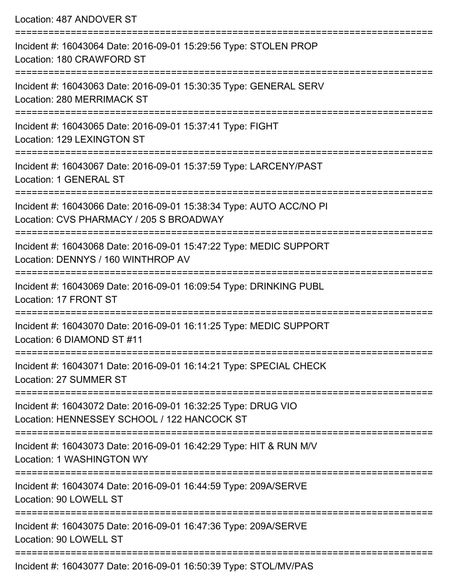Location: 487 ANDOVER ST =========================================================================== Incident #: 16043064 Date: 2016-09-01 15:29:56 Type: STOLEN PROP Location: 180 CRAWFORD ST =========================================================================== Incident #: 16043063 Date: 2016-09-01 15:30:35 Type: GENERAL SERV Location: 280 MERRIMACK ST =========================================================================== Incident #: 16043065 Date: 2016-09-01 15:37:41 Type: FIGHT Location: 129 LEXINGTON ST =========================================================================== Incident #: 16043067 Date: 2016-09-01 15:37:59 Type: LARCENY/PAST Location: 1 GENERAL ST =========================================================================== Incident #: 16043066 Date: 2016-09-01 15:38:34 Type: AUTO ACC/NO PI Location: CVS PHARMACY / 205 S BROADWAY =========================================================================== Incident #: 16043068 Date: 2016-09-01 15:47:22 Type: MEDIC SUPPORT Location: DENNYS / 160 WINTHROP AV =========================================================================== Incident #: 16043069 Date: 2016-09-01 16:09:54 Type: DRINKING PUBL Location: 17 FRONT ST =========================================================================== Incident #: 16043070 Date: 2016-09-01 16:11:25 Type: MEDIC SUPPORT Location: 6 DIAMOND ST #11 =========================================================================== Incident #: 16043071 Date: 2016-09-01 16:14:21 Type: SPECIAL CHECK Location: 27 SUMMER ST =========================================================================== Incident #: 16043072 Date: 2016-09-01 16:32:25 Type: DRUG VIO Location: HENNESSEY SCHOOL / 122 HANCOCK ST =========================================================================== Incident #: 16043073 Date: 2016-09-01 16:42:29 Type: HIT & RUN M/V Location: 1 WASHINGTON WY =========================================================================== Incident #: 16043074 Date: 2016-09-01 16:44:59 Type: 209A/SERVE Location: 90 LOWELL ST =========================================================================== Incident #: 16043075 Date: 2016-09-01 16:47:36 Type: 209A/SERVE Location: 90 LOWELL ST ===========================================================================

Incident #: 16043077 Date: 2016-09-01 16:50:39 Type: STOL/MV/PAS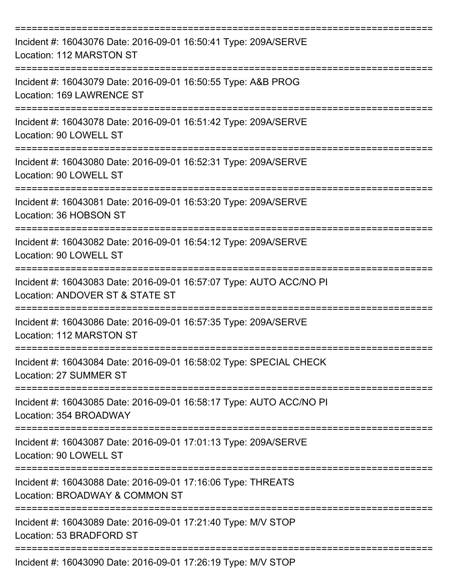| Incident #: 16043076 Date: 2016-09-01 16:50:41 Type: 209A/SERVE<br>Location: 112 MARSTON ST                                   |
|-------------------------------------------------------------------------------------------------------------------------------|
| Incident #: 16043079 Date: 2016-09-01 16:50:55 Type: A&B PROG<br>Location: 169 LAWRENCE ST                                    |
| Incident #: 16043078 Date: 2016-09-01 16:51:42 Type: 209A/SERVE<br>Location: 90 LOWELL ST                                     |
| Incident #: 16043080 Date: 2016-09-01 16:52:31 Type: 209A/SERVE<br>Location: 90 LOWELL ST                                     |
| Incident #: 16043081 Date: 2016-09-01 16:53:20 Type: 209A/SERVE<br>Location: 36 HOBSON ST<br>================================ |
| Incident #: 16043082 Date: 2016-09-01 16:54:12 Type: 209A/SERVE<br>Location: 90 LOWELL ST                                     |
| Incident #: 16043083 Date: 2016-09-01 16:57:07 Type: AUTO ACC/NO PI<br>Location: ANDOVER ST & STATE ST                        |
| Incident #: 16043086 Date: 2016-09-01 16:57:35 Type: 209A/SERVE<br>Location: 112 MARSTON ST                                   |
| Incident #: 16043084 Date: 2016-09-01 16:58:02 Type: SPECIAL CHECK<br>Location: 27 SUMMER ST                                  |
| Incident #: 16043085 Date: 2016-09-01 16:58:17 Type: AUTO ACC/NO PI<br>Location: 354 BROADWAY                                 |
| Incident #: 16043087 Date: 2016-09-01 17:01:13 Type: 209A/SERVE<br>Location: 90 LOWELL ST                                     |
| Incident #: 16043088 Date: 2016-09-01 17:16:06 Type: THREATS<br>Location: BROADWAY & COMMON ST                                |
| Incident #: 16043089 Date: 2016-09-01 17:21:40 Type: M/V STOP<br>Location: 53 BRADFORD ST                                     |
| Incident #: 16043090 Date: 2016-09-01 17:26:19 Type: M/V STOP                                                                 |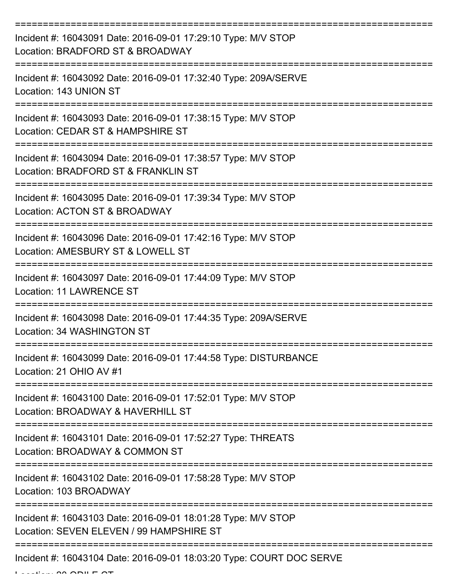| Incident #: 16043091 Date: 2016-09-01 17:29:10 Type: M/V STOP<br>Location: BRADFORD ST & BROADWAY         |
|-----------------------------------------------------------------------------------------------------------|
| Incident #: 16043092 Date: 2016-09-01 17:32:40 Type: 209A/SERVE<br>Location: 143 UNION ST                 |
| Incident #: 16043093 Date: 2016-09-01 17:38:15 Type: M/V STOP<br>Location: CEDAR ST & HAMPSHIRE ST        |
| Incident #: 16043094 Date: 2016-09-01 17:38:57 Type: M/V STOP<br>Location: BRADFORD ST & FRANKLIN ST      |
| Incident #: 16043095 Date: 2016-09-01 17:39:34 Type: M/V STOP<br>Location: ACTON ST & BROADWAY            |
| Incident #: 16043096 Date: 2016-09-01 17:42:16 Type: M/V STOP<br>Location: AMESBURY ST & LOWELL ST        |
| Incident #: 16043097 Date: 2016-09-01 17:44:09 Type: M/V STOP<br><b>Location: 11 LAWRENCE ST</b>          |
| Incident #: 16043098 Date: 2016-09-01 17:44:35 Type: 209A/SERVE<br>Location: 34 WASHINGTON ST             |
| Incident #: 16043099 Date: 2016-09-01 17:44:58 Type: DISTURBANCE<br>Location: 21 OHIO AV #1               |
| Incident #: 16043100 Date: 2016-09-01 17:52:01 Type: M/V STOP<br>Location: BROADWAY & HAVERHILL ST        |
| Incident #: 16043101 Date: 2016-09-01 17:52:27 Type: THREATS<br>Location: BROADWAY & COMMON ST            |
| Incident #: 16043102 Date: 2016-09-01 17:58:28 Type: M/V STOP<br>Location: 103 BROADWAY                   |
| Incident #: 16043103 Date: 2016-09-01 18:01:28 Type: M/V STOP<br>Location: SEVEN ELEVEN / 99 HAMPSHIRE ST |
| Incident #: 16043104 Date: 2016-09-01 18:03:20 Type: COURT DOC SERVE                                      |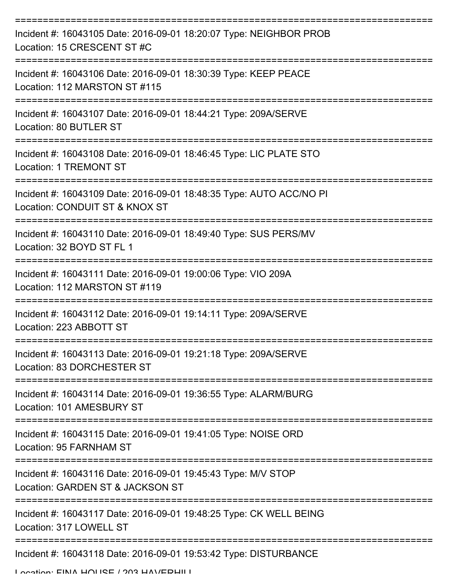| Incident #: 16043105 Date: 2016-09-01 18:20:07 Type: NEIGHBOR PROB<br>Location: 15 CRESCENT ST #C                   |
|---------------------------------------------------------------------------------------------------------------------|
| Incident #: 16043106 Date: 2016-09-01 18:30:39 Type: KEEP PEACE<br>Location: 112 MARSTON ST #115                    |
| Incident #: 16043107 Date: 2016-09-01 18:44:21 Type: 209A/SERVE<br>Location: 80 BUTLER ST                           |
| Incident #: 16043108 Date: 2016-09-01 18:46:45 Type: LIC PLATE STO<br>Location: 1 TREMONT ST<br>------------------- |
| Incident #: 16043109 Date: 2016-09-01 18:48:35 Type: AUTO ACC/NO PI<br>Location: CONDUIT ST & KNOX ST               |
| Incident #: 16043110 Date: 2016-09-01 18:49:40 Type: SUS PERS/MV<br>Location: 32 BOYD ST FL 1                       |
| Incident #: 16043111 Date: 2016-09-01 19:00:06 Type: VIO 209A<br>Location: 112 MARSTON ST #119                      |
| Incident #: 16043112 Date: 2016-09-01 19:14:11 Type: 209A/SERVE<br>Location: 223 ABBOTT ST                          |
| Incident #: 16043113 Date: 2016-09-01 19:21:18 Type: 209A/SERVE<br>Location: 83 DORCHESTER ST                       |
| Incident #: 16043114 Date: 2016-09-01 19:36:55 Type: ALARM/BURG<br>Location: 101 AMESBURY ST                        |
| Incident #: 16043115 Date: 2016-09-01 19:41:05 Type: NOISE ORD<br>Location: 95 FARNHAM ST                           |
| Incident #: 16043116 Date: 2016-09-01 19:45:43 Type: M/V STOP<br>Location: GARDEN ST & JACKSON ST                   |
| Incident #: 16043117 Date: 2016-09-01 19:48:25 Type: CK WELL BEING<br>Location: 317 LOWELL ST                       |
| Incident #: 16043118 Date: 2016-09-01 19:53:42 Type: DISTURBANCE                                                    |

Location: FINA HOLICE / 203 HAVEDHILL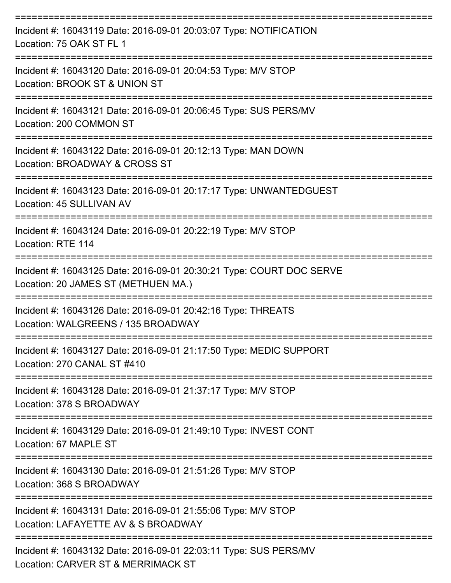| Incident #: 16043119 Date: 2016-09-01 20:03:07 Type: NOTIFICATION<br>Location: 75 OAK ST FL 1               |
|-------------------------------------------------------------------------------------------------------------|
| Incident #: 16043120 Date: 2016-09-01 20:04:53 Type: M/V STOP<br>Location: BROOK ST & UNION ST              |
| Incident #: 16043121 Date: 2016-09-01 20:06:45 Type: SUS PERS/MV<br>Location: 200 COMMON ST                 |
| Incident #: 16043122 Date: 2016-09-01 20:12:13 Type: MAN DOWN<br>Location: BROADWAY & CROSS ST              |
| Incident #: 16043123 Date: 2016-09-01 20:17:17 Type: UNWANTEDGUEST<br>Location: 45 SULLIVAN AV              |
| Incident #: 16043124 Date: 2016-09-01 20:22:19 Type: M/V STOP<br>Location: RTE 114                          |
| Incident #: 16043125 Date: 2016-09-01 20:30:21 Type: COURT DOC SERVE<br>Location: 20 JAMES ST (METHUEN MA.) |
| Incident #: 16043126 Date: 2016-09-01 20:42:16 Type: THREATS<br>Location: WALGREENS / 135 BROADWAY          |
| Incident #: 16043127 Date: 2016-09-01 21:17:50 Type: MEDIC SUPPORT<br>Location: 270 CANAL ST #410           |
| Incident #: 16043128 Date: 2016-09-01 21:37:17 Type: M/V STOP<br>Location: 378 S BROADWAY                   |
| Incident #: 16043129 Date: 2016-09-01 21:49:10 Type: INVEST CONT<br>Location: 67 MAPLE ST                   |
| Incident #: 16043130 Date: 2016-09-01 21:51:26 Type: M/V STOP<br>Location: 368 S BROADWAY                   |
| Incident #: 16043131 Date: 2016-09-01 21:55:06 Type: M/V STOP<br>Location: LAFAYETTE AV & S BROADWAY        |
| Incident #: 16043132 Date: 2016-09-01 22:03:11 Type: SUS PERS/MV<br>Location: CADVED CT & MEDDIMACK CT      |

Location: CARVER ST & MERRIMACK ST